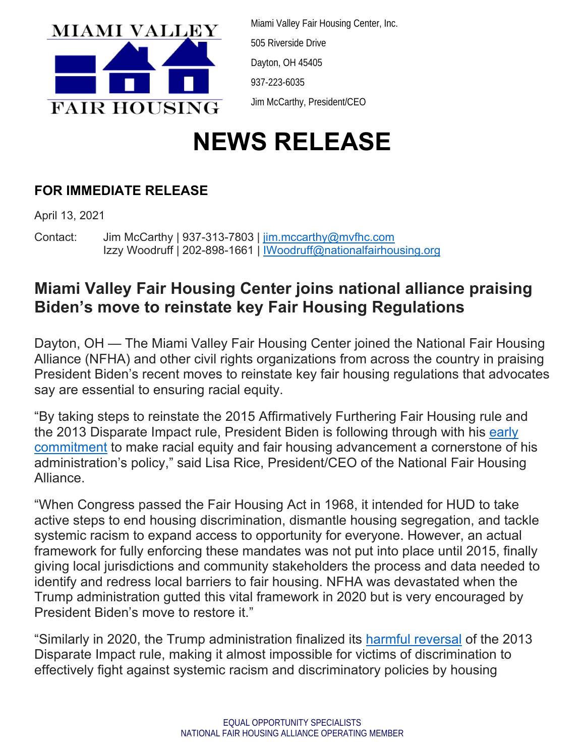

Miami Valley Fair Housing Center, Inc. 505 Riverside Drive Dayton, OH 45405 937-223-6035 Jim McCarthy, President/CEO

## **NEWS RELEASE**

## **FOR IMMEDIATE RELEASE**

April 13, 2021

Contact: Jim McCarthy | 937-313-7803 | jim.mccarthy@mvfhc.com Izzy Woodruff | 202-898-1661 | IWoodruff@nationalfairhousing.org

## **Miami Valley Fair Housing Center joins national alliance praising Biden's move to reinstate key Fair Housing Regulations**

Dayton, OH — The Miami Valley Fair Housing Center joined the National Fair Housing Alliance (NFHA) and other civil rights organizations from across the country in praising President Biden's recent moves to reinstate key fair housing regulations that advocates say are essential to ensuring racial equity.

"By taking steps to reinstate the 2015 Affirmatively Furthering Fair Housing rule and the 2013 Disparate Impact rule, President Biden is following through with his early commitment to make racial equity and fair housing advancement a cornerstone of his administration's policy," said Lisa Rice, President/CEO of the National Fair Housing Alliance.

"When Congress passed the Fair Housing Act in 1968, it intended for HUD to take active steps to end housing discrimination, dismantle housing segregation, and tackle systemic racism to expand access to opportunity for everyone. However, an actual framework for fully enforcing these mandates was not put into place until 2015, finally giving local jurisdictions and community stakeholders the process and data needed to identify and redress local barriers to fair housing. NFHA was devastated when the Trump administration gutted this vital framework in 2020 but is very encouraged by President Biden's move to restore it."

"Similarly in 2020, the Trump administration finalized its harmful reversal of the 2013 Disparate Impact rule, making it almost impossible for victims of discrimination to effectively fight against systemic racism and discriminatory policies by housing